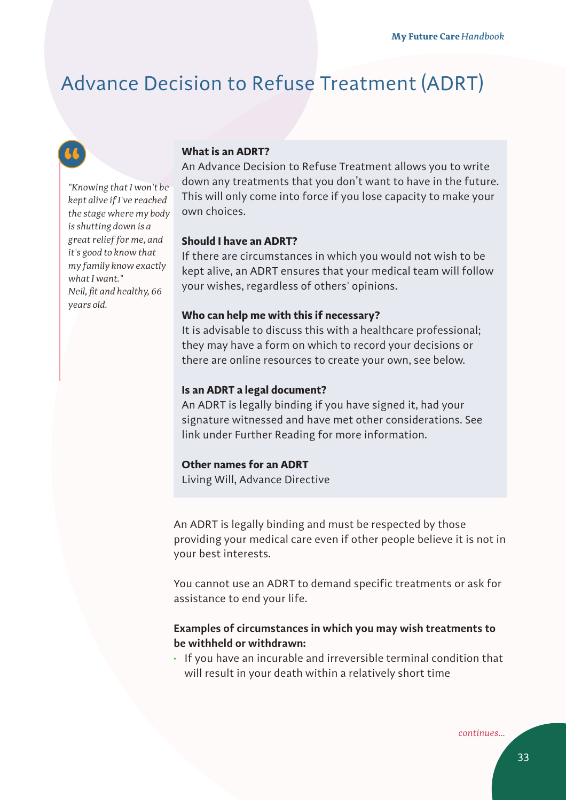# Advance Decision to Refuse Treatment (ADRT)



*"Knowing that I won't be kept alive if I've reached the stage where my body is shutting down is a great relief for me, and it's good to know that my family know exactly what I want." Neil, fit and healthy, 66 years old.*

### **What is an ADRT?**

An Advance Decision to Refuse Treatment allows you to write down any treatments that you don't want to have in the future. This will only come into force if you lose capacity to make your own choices.

### **Should I have an ADRT?**

If there are circumstances in which you would not wish to be kept alive, an ADRT ensures that your medical team will follow your wishes, regardless of others' opinions.

#### **Who can help me with this if necessary?**

It is advisable to discuss this with a healthcare professional; they may have a form on which to record your decisions or there are online resources to create your own, see below.

#### **Is an ADRT a legal document?**

An ADRT is legally binding if you have signed it, had your signature witnessed and have met other considerations. See link under Further Reading for more information.

### **Other names for an ADRT**

Living Will, Advance Directive

An ADRT is legally binding and must be respected by those providing your medical care even if other people believe it is not in your best interests.

You cannot use an ADRT to demand specific treatments or ask for assistance to end your life.

### **Examples of circumstances in which you may wish treatments to be withheld or withdrawn:**

• If you have an incurable and irreversible terminal condition that will result in your death within a relatively short time

*continues...*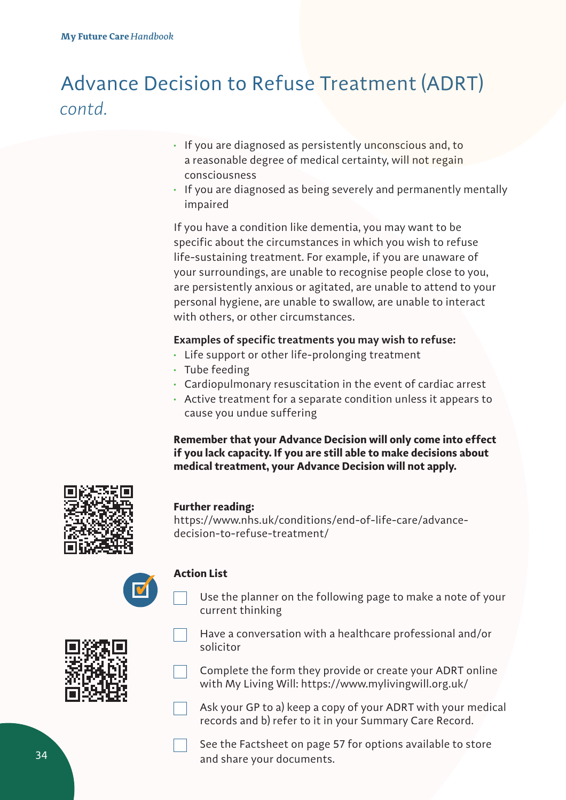# Advance Decision to Refuse Treatment (ADRT) *contd.*

- If you are diagnosed as persistently unconscious and, to a reasonable degree of medical certainty, will not regain consciousness
- If you are diagnosed as being severely and permanently mentally impaired

If you have a condition like dementia, you may want to be specific about the circumstances in which you wish to refuse life-sustaining treatment. For example, if you are unaware of your surroundings, are unable to recognise people close to you, are persistently anxious or agitated, are unable to attend to your personal hygiene, are unable to swallow, are unable to interact with others, or other circumstances.

## **Examples of specific treatments you may wish to refuse:**

- Life support or other life-prolonging treatment
- Tube feeding
- Cardiopulmonary resuscitation in the event of cardiac arrest
- Active treatment for a separate condition unless it appears to cause you undue suffering

**Remember that your Advance Decision will only come into effect if you lack capacity. If you are still able to make decisions about medical treatment, your Advance Decision will not apply.**



## **Further reading:**

https://www.nhs.uk/conditions/end-of-life-care/advancedecision-to-refuse-treatment/



### **Action List**

Use the planner on the following page to make a note of your current thinking



- Have a conversation with a healthcare professional and/or solicitor
- Complete the form they provide or create your ADRT online with My Living Will: https://www.mylivingwill.org.uk/
- Ask your GP to a) keep a copy of your ADRT with your medical records and b) refer to it in your Summary Care Record.

See the Factsheet on page 57 for options available to store and share your documents.